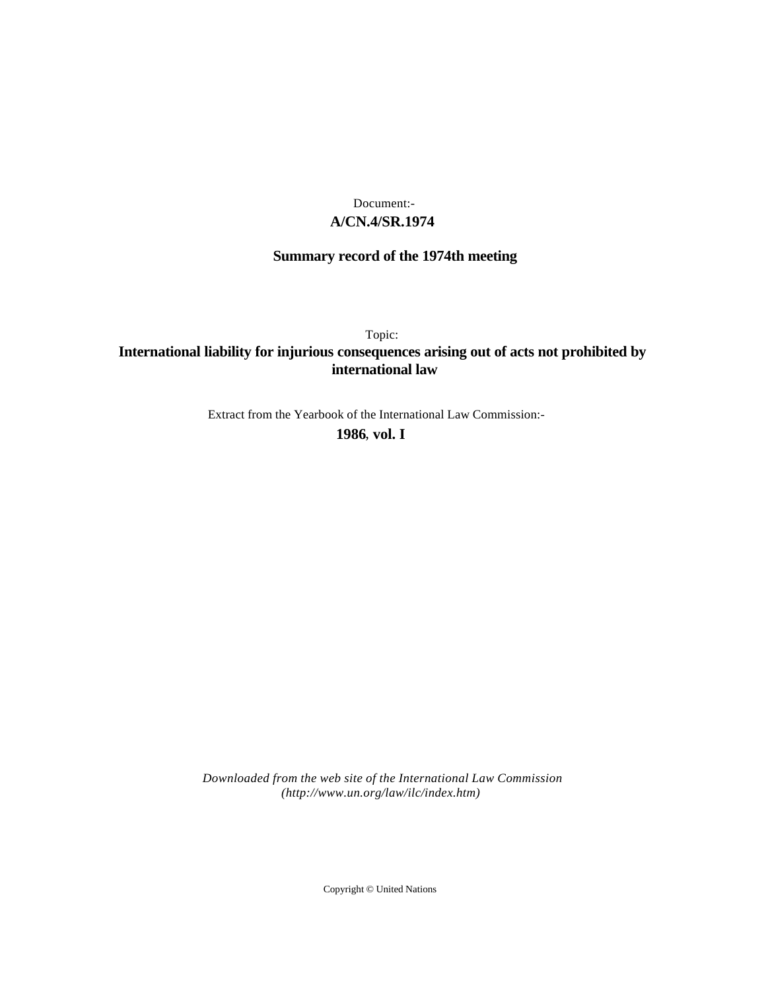## **A/CN.4/SR.1974** Document:-

# **Summary record of the 1974th meeting**

Topic:

## **International liability for injurious consequences arising out of acts not prohibited by international law**

Extract from the Yearbook of the International Law Commission:-

**1986** , **vol. I**

*Downloaded from the web site of the International Law Commission (http://www.un.org/law/ilc/index.htm)*

Copyright © United Nations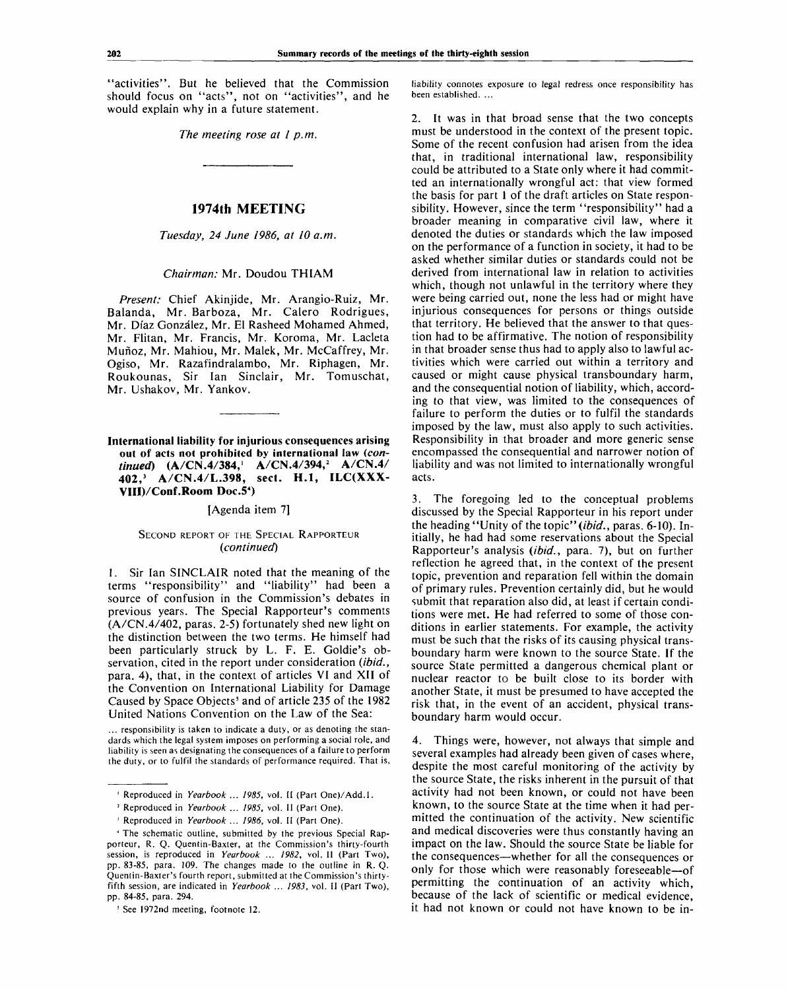"activities". But he believed that the Commission should focus on "acts", not on "activities", and he would explain why in a future statement.

*The meeting rose at I p.m.*

### **1974th MEETING**

*Tuesday, 24 June 1986, at 10 a.m.*

#### *Chairman:* Mr. Doudou THIAM

*Present:* Chief Akinjide, Mr. Arangio-Ruiz, Mr. Balanda, Mr. Barboza, Mr. Calero Rodrigues, Mr. Diaz Gonzalez, Mr. El Rasheed Mohamed Ahmed, Mr. Flitan, Mr. Francis, Mr. Koroma, Mr. Lacleta Munoz, Mr. Mahiou, Mr. Malek, Mr. McCaffrey, Mr. Ogiso, Mr. Razafindralambo, Mr. Riphagen, Mr. Roukounas, Sir Ian Sinclair, Mr. Tomuschat, Mr. Ushakov, Mr. Yankov.

**International liability for injurious consequences arising out of acts not prohibited by international law** *(continued)* **(A/CN.4/384,' A/CN.4/394,<sup>2</sup> A/CN.4/ 402,<sup>3</sup> A/CN.4/L.398, sect. H.I, ILC(XXX-VIII)/Conf.Room Doc.5<sup>4</sup> )**

#### [Agenda item 7]

### SECOND REPORT OF THE SPECIAL RAPPORTEUR *{continued)*

1. Sir Ian SINCLAIR noted that the meaning of the terms "responsibility" and "liability" had been a source of confusion in the Commission's debates in previous years. The Special Rapporteur's comments (A/CN.4/402, paras. 2-5) fortunately shed new light on the distinction between the two terms. He himself had been particularly struck by L. F. E. Goldie's observation, cited in the report under consideration *{ibid.,* para. 4), that, in the context of articles VI and XII of the Convention on International Liability for Damage Caused by Space Objects<sup>5</sup> and of article 235 of the 1982 United Nations Convention on the Law of the Sea:

... responsibility is taken to indicate a duty, or as denoting the standards which the legal system imposes on performing a social role, and liability is seen as designating the consequences of a failure to perform the duty, or to fulfil the standards of performance required. That is,

liability connotes exposure to legal redress once responsibility has been established. ...

2. It was in that broad sense that the two concepts must be understood in the context of the present topic. Some of the recent confusion had arisen from the idea that, in traditional international law, responsibility could be attributed to a State only where it had committed an internationally wrongful act: that view formed the basis for part 1 of the draft articles on State responsibility. However, since the term "responsibility" had a broader meaning in comparative civil law, where it denoted the duties or standards which the law imposed on the performance of a function in society, it had to be asked whether similar duties or standards could not be derived from international law in relation to activities which, though not unlawful in the territory where they were being carried out, none the less had or might have injurious consequences for persons or things outside that territory. He believed that the answer to that question had to be affirmative. The notion of responsibility in that broader sense thus had to apply also to lawful activities which were carried out within a territory and caused or might cause physical transboundary harm, and the consequential notion of liability, which, according to that view, was limited to the consequences of failure to perform the duties or to fulfil the standards imposed by the law, must also apply to such activities. Responsibility in that broader and more generic sense encompassed the consequential and narrower notion of liability and was not limited to internationally wrongful acts.

3. The foregoing led to the conceptual problems discussed by the Special Rapporteur in his report under the heading "Unity of the topic" *{ibid.,* paras. 6-10). Initially, he had had some reservations about the Special Rapporteur's analysis *{ibid.,* para. 7), but on further reflection he agreed that, in the context of the present topic, prevention and reparation fell within the domain of primary rules. Prevention certainly did, but he would submit that reparation also did, at least if certain conditions were met. He had referred to some of those conditions in earlier statements. For example, the activity must be such that the risks of its causing physical transboundary harm were known to the source State. If the source State permitted a dangerous chemical plant or nuclear reactor to be built close to its border with another State, it must be presumed to have accepted the risk that, in the event of an accident, physical transboundary harm would occur.

4. Things were, however, not always that simple and several examples had already been given of cases where, despite the most careful monitoring of the activity by the source State, the risks inherent in the pursuit of that activity had not been known, or could not have been known, to the source State at the time when it had permitted the continuation of the activity. New scientific and medical discoveries were thus constantly having an impact on the law. Should the source State be liable for the consequences—whether for all the consequences or only for those which were reasonably foreseeable—of permitting the continuation of an activity which, because of the lack of scientific or medical evidence, it had not known or could not have known to be in-

<sup>1</sup> Reproduced in *Yearbook ... 1985,* vol. II (Part One)/Add.l.

<sup>2</sup> Reproduced in *Yearbook* ... *1985,* vol. II (Part One).

*<sup>1</sup>* Reproduced in *Yearbook ... 1986,* vol. II (Part One).

<sup>4</sup> The schematic outline, submitted by the previous Special Rapporteur, R. Q. Quentin-Baxter, at the Commission's thirty-fourth session, is reproduced in *Yearbook ... 1982,* vol. II (Part Two), pp. 83-85, para. 109. The changes made to the outline in R. Q. Quentin-Baxter's fourth report, submitted at the Commission's thirtyfifth session, are indicated in *Yearbook ... 1983,* vol. II (Part Two), pp. 84-85, para. 294.

<sup>&</sup>lt;sup>5</sup> See 1972nd meeting, footnote 12.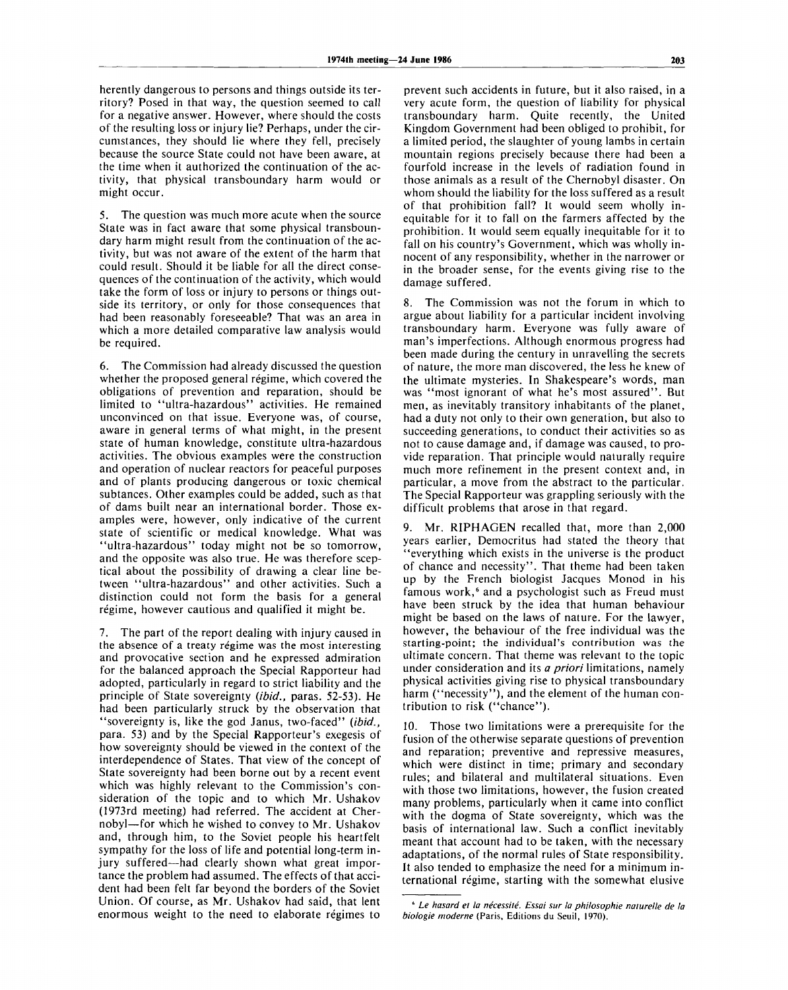herently dangerous to persons and things outside its territory? Posed in that way, the question seemed to call for a negative answer. However, where should the costs of the resulting loss or injury lie? Perhaps, under the circumstances, they should lie where they fell, precisely because the source State could not have been aware, at the time when it authorized the continuation of the activity, that physical transboundary harm would or might occur.

5. The question was much more acute when the source State was in fact aware that some physical transboundary harm might result from the continuation of the activity, but was not aware of the extent of the harm that could result. Should it be liable for all the direct consequences of the continuation of the activity, which would take the form of loss or injury to persons or things outside its territory, or only for those consequences that had been reasonably foreseeable? That was an area in which a more detailed comparative law analysis would be required.

6. The Commission had already discussed the question whether the proposed general régime, which covered the obligations of prevention and reparation, should be limited to "ultra-hazardous" activities. He remained unconvinced on that issue. Everyone was, of course, aware in general terms of what might, in the present state of human knowledge, constitute ultra-hazardous activities. The obvious examples were the construction and operation of nuclear reactors for peaceful purposes and of plants producing dangerous or toxic chemical subtances. Other examples could be added, such as that of dams built near an international border. Those examples were, however, only indicative of the current state of scientific or medical knowledge. What was "ultra-hazardous" today might not be so tomorrow, and the opposite was also true. He was therefore sceptical about the possibility of drawing a clear line between "ultra-hazardous" and other activities. Such a distinction could not form the basis for a general régime, however cautious and qualified it might be.

7. The part of the report dealing with injury caused in the absence of a treaty régime was the most interesting and provocative section and he expressed admiration for the balanced approach the Special Rapporteur had adopted, particularly in regard to strict liability and the principle of State sovereignty *(ibid.,* paras. 52-53). He had been particularly struck by the observation that "sovereignty is, like the god Janus, two-faced" *{ibid.,* para. 53) and by the Special Rapporteur's exegesis of how sovereignty should be viewed in the context of the interdependence of States. That view of the concept of State sovereignty had been borne out by a recent event which was highly relevant to the Commission's consideration of the topic and to which Mr. Ushakov (1973rd meeting) had referred. The accident at Chernobyl—for which he wished to convey to Mr. Ushakov and, through him, to the Soviet people his heartfelt sympathy for the loss of life and potential long-term injury suffered—had clearly shown what great importance the problem had assumed. The effects of that accident had been felt far beyond the borders of the Soviet Union. Of course, as Mr. Ushakov had said, that lent enormous weight to the need to elaborate regimes to

prevent such accidents in future, but it also raised, in a very acute form, the question of liability for physical transboundary harm. Quite recently, the United Kingdom Government had been obliged to prohibit, for a limited period, the slaughter of young lambs in certain mountain regions precisely because there had been a fourfold increase in the levels of radiation found in those animals as a result of the Chernobyl disaster. On whom should the liability for the loss suffered as a result of that prohibition fall? It would seem wholly inequitable for it to fall on the farmers affected by the prohibition. It would seem equally inequitable for it to fall on his country's Government, which was wholly innocent of any responsibility, whether in the narrower or in the broader sense, for the events giving rise to the damage suffered.

8. The Commission was not the forum in which to argue about liability for a particular incident involving transboundary harm. Everyone was fully aware of man's imperfections. Although enormous progress had been made during the century in unravelling the secrets of nature, the more man discovered, the less he knew of the ultimate mysteries. In Shakespeare's words, man was "most ignorant of what he's most assured". But men, as inevitably transitory inhabitants of the planet, had a duty not only to their own generation, but also to succeeding generations, to conduct their activities so as not to cause damage and, if damage was caused, to provide reparation. That principle would naturally require much more refinement in the present context and, in particular, a move from the abstract to the particular. The Special Rapporteur was grappling seriously with the difficult problems that arose in that regard.

Mr. RIPHAGEN recalled that, more than 2,000 years earlier, Democritus had stated the theory that "everything which exists in the universe is the product of chance and necessity". That theme had been taken up by the French biologist Jacques Monod in his famous work,<sup>6</sup> and a psychologist such as Freud must have been struck by the idea that human behaviour might be based on the laws of nature. For the lawyer, however, the behaviour of the free individual was the starting-point; the individual's contribution was the ultimate concern. That theme was relevant to the topic under consideration and its *a priori* limitations, namely physical activities giving rise to physical transboundary harm ("necessity"), and the element of the human contribution to risk ("chance").

10. Those two limitations were a prerequisite for the fusion of the otherwise separate questions of prevention and reparation; preventive and repressive measures, which were distinct in time; primary and secondary rules; and bilateral and multilateral situations. Even with those two limitations, however, the fusion created many problems, particularly when it came into conflict with the dogma of State sovereignty, which was the basis of international law. Such a conflict inevitably meant that account had to be taken, with the necessary adaptations, of the normal rules of State responsibility. It also tended to emphasize the need for a minimum international régime, starting with the somewhat elusive

<sup>&</sup>lt;sup>6</sup> Le hasard et la nécessité. Essai sur la philosophie naturelle de la *biologie moderne* (Paris, Editions du Seuil, 1970).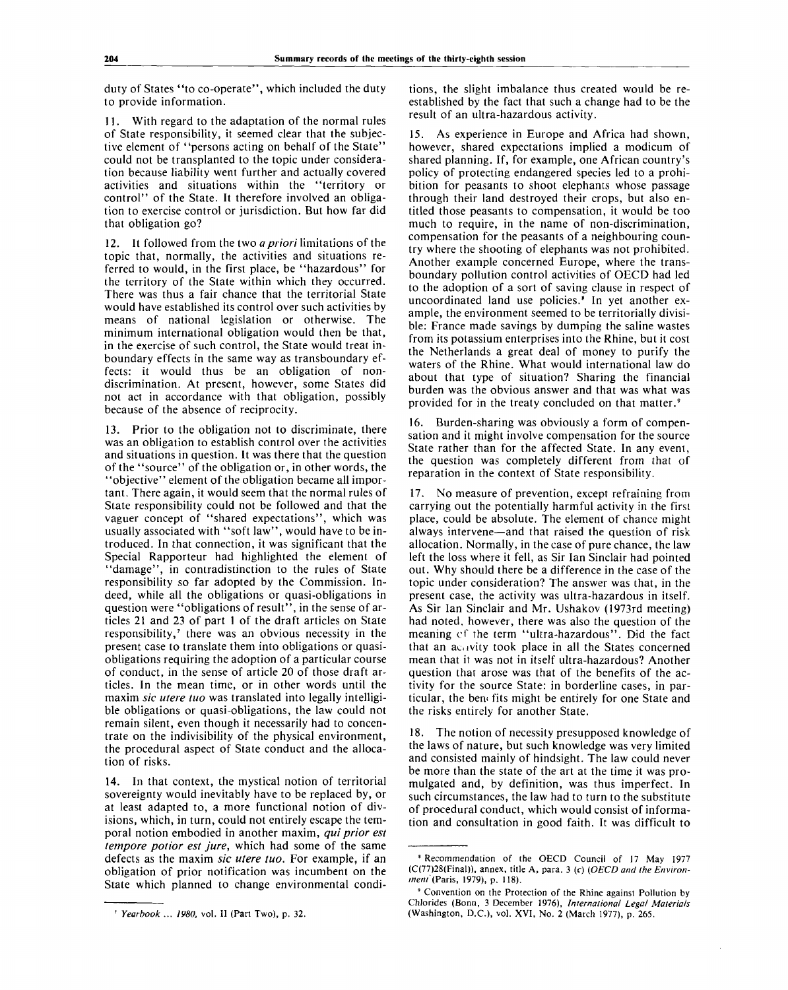duty of States "to co-operate", which included the duty to provide information.

11. With regard to the adaptation of the normal rules of State responsibility, it seemed clear that the subjective element of "persons acting on behalf of the State" could not be transplanted to the topic under consideration because liability went further and actually covered activities and situations within the "territory or control" of the State. It therefore involved an obligation to exercise control or jurisdiction. But how far did that obligation go?

12. It followed from the two *a priori* limitations of the topic that, normally, the activities and situations referred to would, in the first place, be "hazardous" for the territory of the State within which they occurred. There was thus a fair chance that the territorial State would have established its control over such activities by means of national legislation or otherwise. The minimum international obligation would then be that, in the exercise of such control, the State would treat inboundary effects in the same way as transboundary effects: it would thus be an obligation of nondiscrimination. At present, however, some States did not act in accordance with that obligation, possibly because of the absence of reciprocity.

13. Prior to the obligation not to discriminate, there was an obligation to establish control over the activities and situations in question. It was there that the question of the "source" of the obligation or, in other words, the "objective" element of the obligation became all important. There again, it would seem that the normal rules of State responsibility could not be followed and that the vaguer concept of "shared expectations", which was usually associated with "soft law", would have to be introduced. In that connection, it was significant that the Special Rapporteur had highlighted the element of "damage", in contradistinction to the rules of State responsibility so far adopted by the Commission. Indeed, while all the obligations or quasi-obligations in question were "obligations of result", in the sense of articles 21 and 23 of part 1 of the draft articles on State responsibility,<sup>7</sup> there was an obvious necessity in the present case to translate them into obligations or quasiobligations requiring the adoption of a particular course of conduct, in the sense of article 20 of those draft articles. In the mean time, or in other words until the maxim *sic utere tuo* was translated into legally intelligible obligations or quasi-obligations, the law could not remain silent, even though it necessarily had to concentrate on the indivisibility of the physical environment, the procedural aspect of State conduct and the allocation of risks.

14. In that context, the mystical notion of territorial sovereignty would inevitably have to be replaced by, or at least adapted to, a more functional notion of divisions, which, in turn, could not entirely escape the temporal notion embodied in another maxim, *qui prior est tempore potior est jure,* which had some of the same defects as the maxim *sic utere tuo.* For example, if an obligation of prior notification was incumbent on the State which planned to change environmental conditions, the slight imbalance thus created would be reestablished by the fact that such a change had to be the result of an ultra-hazardous activity.

15. As experience in Europe and Africa had shown, however, shared expectations implied a modicum of shared planning. If, for example, one African country's policy of protecting endangered species led to a prohibition for peasants to shoot elephants whose passage through their land destroyed their crops, but also entitled those peasants to compensation, it would be too much to require, in the name of non-discrimination, compensation for the peasants of a neighbouring country where the shooting of elephants was not prohibited. Another example concerned Europe, where the transboundary pollution control activities of OECD had led to the adoption of a sort of saving clause in respect of uncoordinated land use policies.<sup>8</sup> In yet another example, the environment seemed to be territorially divisible: France made savings by dumping the saline wastes from its potassium enterprises into the Rhine, but it cost the Netherlands a great deal of money to purify the waters of the Rhine. What would international law do about that type of situation? Sharing the financial burden was the obvious answer and that was what was provided for in the treaty concluded on that matter.<sup>9</sup>

16. Burden-sharing was obviously a form of compensation and it might involve compensation for the source State rather than for the affected State. In any event, the question was completely different from that of reparation in the context of State responsibility.

17. No measure of prevention, except refraining from carrying out the potentially harmful activity in the first place, could be absolute. The element of chance might always intervene—and that raised the question of risk allocation. Normally, in the case of pure chance, the law left the loss where it fell, as Sir Ian Sinclair had pointed out. Why should there be a difference in the case of the topic under consideration? The answer was that, in the present case, the activity was ultra-hazardous in itself. As Sir Ian Sinclair and Mr. Ushakov (1973rd meeting) had noted, however, there was also the question of the meaning cf the term "ultra-hazardous". Did the fact that an ac.ivity took place in all the States concerned mean that it was not in itself ultra-hazardous? Another question that arose was that of the benefits of the activity for the source State: in borderline cases, in particular, the bem fits might be entirely for one State and the risks entirely for another State.

18. The notion of necessity presupposed knowledge of the laws of nature, but such knowledge was very limited and consisted mainly of hindsight. The law could never be more than the state of the art at the time it was promulgated and, by definition, was thus imperfect. In such circumstances, the law had to turn to the substitute of procedural conduct, which would consist of information and consultation in good faith. It was difficult to

<sup>7</sup>  *Yearbook ... 1980,* vol. II (Part Two), p. 32.

<sup>8</sup> Recommendation of the OECD Council of 17 May 1977 (C(77)28(Final)), annex, title A, para. 3 *(c) {OECD and the Environment (Pans,* 1979), p. 118).

<sup>&#</sup>x27; Convention on the Protection of the Rhine against Pollution by Chlorides (Bonn, 3 December 1976), *Internationa/ Legal Materials* (Washington, D.C.), vol. XVI, No. 2 (March 1977), p. 265.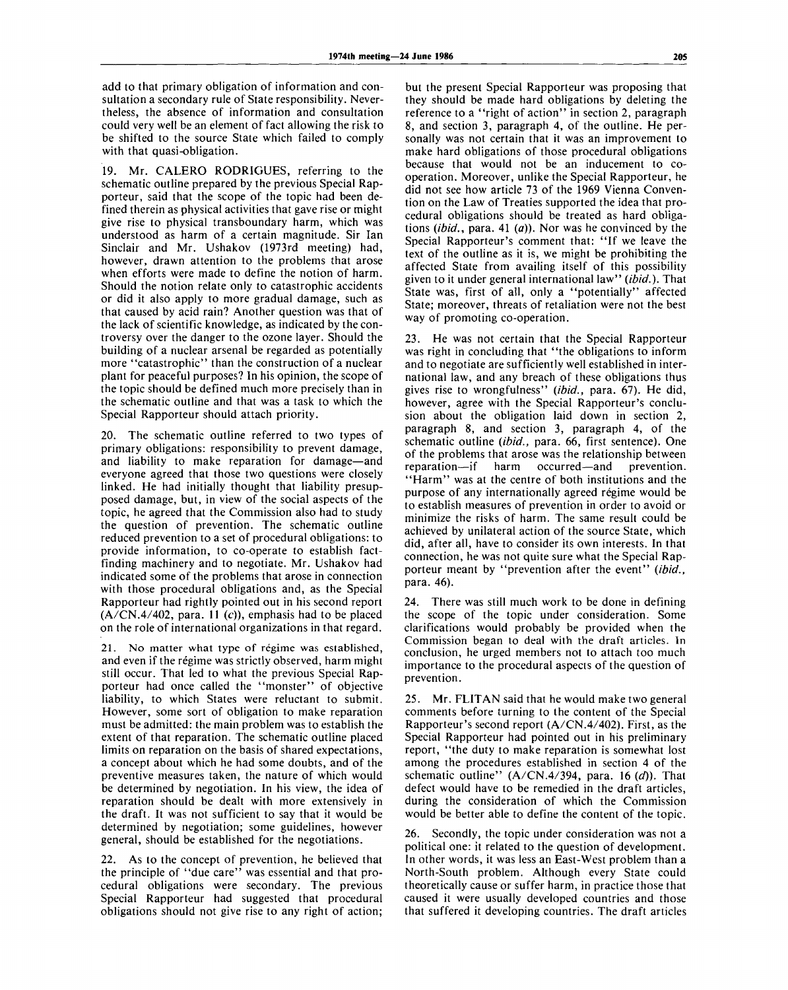add to that primary obligation of information and consultation a secondary rule of State responsibility. Nevertheless, the absence of information and consultation could very well be an element of fact allowing the risk to be shifted to the source State which failed to comply with that quasi-obligation.

19. Mr. CALERO RODRIGUES, referring to the schematic outline prepared by the previous Special Rapporteur, said that the scope of the topic had been defined therein as physical activities that gave rise or might give rise to physical transboundary harm, which was understood as harm of a certain magnitude. Sir Ian Sinclair and Mr. Ushakov (1973rd meeting) had, however, drawn attention to the problems that arose when efforts were made to define the notion of harm. Should the notion relate only to catastrophic accidents or did it also apply to more gradual damage, such as that caused by acid rain? Another question was that of the lack of scientific knowledge, as indicated by the controversy over the danger to the ozone layer. Should the building of a nuclear arsenal be regarded as potentially more "catastrophic" than the construction of a nuclear plant for peaceful purposes? In his opinion, the scope of the topic should be defined much more precisely than in the schematic outline and that was a task to which the Special Rapporteur should attach priority.

20. The schematic outline referred to two types of primary obligations: responsibility to prevent damage, and liability to make reparation for damage—and everyone agreed that those two questions were closely linked. He had initially thought that liability presupposed damage, but, in view of the social aspects of the topic, he agreed that the Commission also had to study the question of prevention. The schematic outline reduced prevention to a set of procedural obligations: to provide information, to co-operate to establish factfinding machinery and to negotiate. Mr. Ushakov had indicated some of the problems that arose in connection with those procedural obligations and, as the Special Rapporteur had rightly pointed out in his second report  $(A/CN.4/402,$  para. 11 (c)), emphasis had to be placed on the role of international organizations in that regard.

21. No matter what type of régime was established, and even if the régime was strictly observed, harm might still occur. That led to what the previous Special Rapporteur had once called the "monster" of objective liability, to which States were reluctant to submit. However, some sort of obligation to make reparation must be admitted: the main problem was to establish the extent of that reparation. The schematic outline placed limits on reparation on the basis of shared expectations, a concept about which he had some doubts, and of the preventive measures taken, the nature of which would be determined by negotiation. In his view, the idea of reparation should be dealt with more extensively in the draft. It was not sufficient to say that it would be determined by negotiation; some guidelines, however general, should be established for the negotiations.

22. As to the concept of prevention, he believed that the principle of "due care" was essential and that procedural obligations were secondary. The previous Special Rapporteur had suggested that procedural obligations should not give rise to any right of action;

but the present Special Rapporteur was proposing that they should be made hard obligations by deleting the reference to a "right of action" in section 2, paragraph 8, and section 3, paragraph 4, of the outline. He personally was not certain that it was an improvement to make hard obligations of those procedural obligations because that would not be an inducement to cooperation. Moreover, unlike the Special Rapporteur, he did not see how article 73 of the 1969 Vienna Convention on the Law of Treaties supported the idea that procedural obligations should be treated as hard obligations *{ibid.,* para. 41 *(a)).* Nor was he convinced by the Special Rapporteur's comment that: "If we leave the text of the outline as it is, we might be prohibiting the affected State from availing itself of this possibility given to it under general international law" *(ibid.).* That State was, first of all, only a "potentially" affected State; moreover, threats of retaliation were not the best way of promoting co-operation.

23. He was not certain that the Special Rapporteur was right in concluding that "the obligations to inform and to negotiate are sufficiently well established in international law, and any breach of these obligations thus gives rise to wrongfulness" *(ibid.,* para. 67). He did, however, agree with the Special Rapporteur's conclusion about the obligation laid down in section 2, paragraph 8, and section 3, paragraph 4, of the schematic outline *(ibid.,* para. 66, first sentence). One of the problems that arose was the relationship between<br>reparation—if harm occurred—and prevention. occurred—and "Harm" was at the centre of both institutions and the purpose of any internationally agreed régime would be to establish measures of prevention in order to avoid or minimize the risks of harm. The same result could be achieved by unilateral action of the source State, which did, after all, have to consider its own interests. In that connection, he was not quite sure what the Special Rapporteur meant by "prevention after the event" *(ibid.,* para. 46).

24. There was still much work to be done in defining the scope of the topic under consideration. Some clarifications would probably be provided when the Commission began to deal with the draft articles. In conclusion, he urged members not to attach too much importance to the procedural aspects of the question of prevention.

25. Mr. FLITAN said that he would make two general comments before turning to the content of the Special Rapporteur's second report (A/CN.4/402). First, as the Special Rapporteur had pointed out in his preliminary report, "the duty to make reparation is somewhat lost among the procedures established in section 4 of the schematic outline" (A/CN.4/394, para. 16 *(d)).* That defect would have to be remedied in the draft articles, during the consideration of which the Commission would be better able to define the content of the topic.

26. Secondly, the topic under consideration was not a political one: it related to the question of development. In other words, it was less an East-West problem than a North-South problem. Although every State could theoretically cause or suffer harm, in practice those that caused it were usually developed countries and those that suffered it developing countries. The draft articles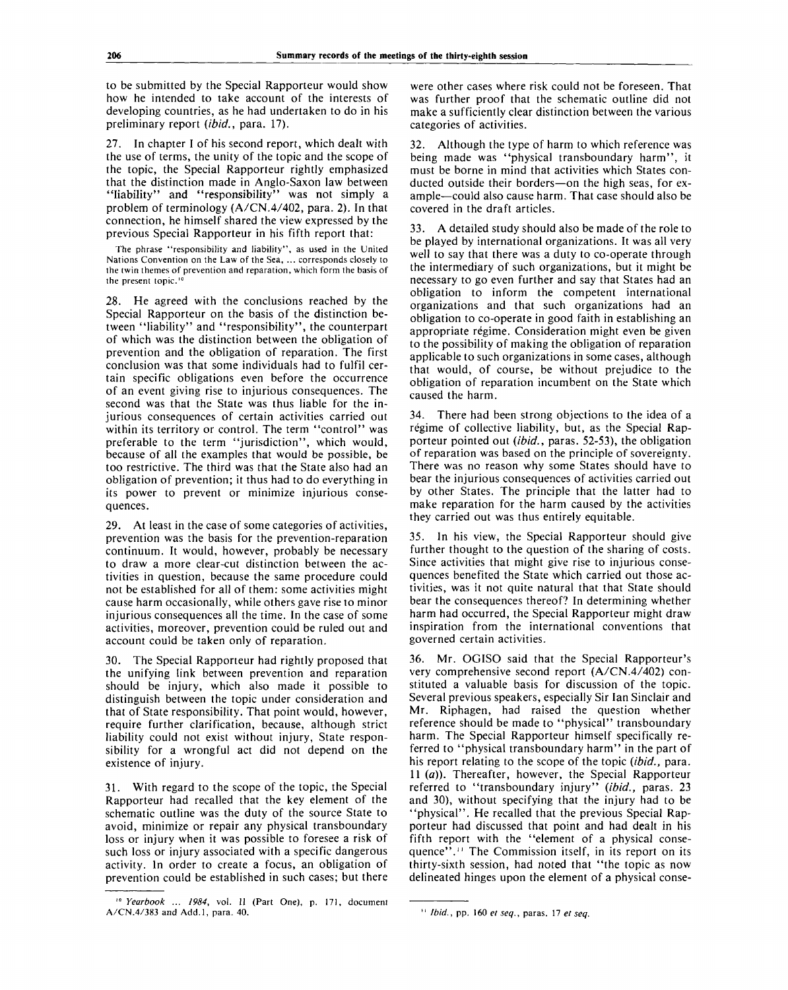to be submitted by the Special Rapporteur would show how he intended to take account of the interests of developing countries, as he had undertaken to do in his preliminary report *(ibid.,* para. 17).

27. In chapter I of his second report, which dealt with the use of terms, the unity of the topic and the scope of the topic, the Special Rapporteur rightly emphasized that the distinction made in Anglo-Saxon law between "liability" and "responsibility" was not simply a problem of terminology (A/CN.4/402, para. 2). In that connection, he himself shared the view expressed by the previous Special Rapporteur in his fifth report that:

The phrase "responsibility and liability", as used in the United Nations Convention on the Law of the Sea, ... corresponds closely to the twin themes of prevention and reparation, which form the basis of the present topic.<sup>10</sup>

28. He agreed with the conclusions reached by the Special Rapporteur on the basis of the distinction between "liability" and "responsibility", the counterpart of which was the distinction between the obligation of prevention and the obligation of reparation. The first conclusion was that some individuals had to fulfil certain specific obligations even before the occurrence of an event giving rise to injurious consequences. The second was that the State was thus liable for the injurious consequences of certain activities carried out within its territory or control. The term "control" was preferable to the term "jurisdiction", which would, because of all the examples that would be possible, be too restrictive. The third was that the State also had an obligation of prevention; it thus had to do everything in its power to prevent or minimize injurious consequences.

29. At least in the case of some categories of activities, prevention was the basis for the prevention-reparation continuum. It would, however, probably be necessary to draw a more clear-cut distinction between the activities in question, because the same procedure could not be established for all of them: some activities might cause harm occasionally, while others gave rise to minor injurious consequences all the time. In the case of some activities, moreover, prevention could be ruled out and account could be taken only of reparation.

30. The Special Rapporteur had rightly proposed that the unifying link between prevention and reparation should be injury, which also made it possible to distinguish between the topic under consideration and that of State responsibility. That point would, however, require further clarification, because, although strict liability could not exist without injury, State responsibility for a wrongful act did not depend on the existence of injury.

31. With regard to the scope of the topic, the Special Rapporteur had recalled that the key element of the schematic outline was the duty of the source State to avoid, minimize or repair any physical transboundary loss or injury when it was possible to foresee a risk of such loss or injury associated with a specific dangerous activity. In order to create a focus, an obligation of prevention could be established in such cases; but there were other cases where risk could not be foreseen. That was further proof that the schematic outline did not make a sufficiently clear distinction between the various categories of activities.

32. Although the type of harm to which reference was being made was "physical transboundary harm", it must be borne in mind that activities which States conducted outside their borders—on the high seas, for example—could also cause harm. That case should also be covered in the draft articles.

33. A detailed study should also be made of the role to be played by international organizations. It was all very well to say that there was a duty to co-operate through the intermediary of such organizations, but it might be necessary to go even further and say that States had an obligation to inform the competent international organizations and that such organizations had an obligation to co-operate in good faith in establishing an appropriate régime. Consideration might even be given to the possibility of making the obligation of reparation applicable to such organizations in some cases, although that would, of course, be without prejudice to the obligation of reparation incumbent on the State which caused the harm.

34. There had been strong objections to the idea of a régime of collective liability, but, as the Special Rapporteur pointed out *(ibid.,* paras. 52-53), the obligation of reparation was based on the principle of sovereignty. There was no reason why some States should have to bear the injurious consequences of activities carried out by other States. The principle that the latter had to make reparation for the harm caused by the activities they carried out was thus entirely equitable.

35. In his view, the Special Rapporteur should give further thought to the question of the sharing of costs. Since activities that might give rise to injurious consequences benefited the State which carried out those activities, was it not quite natural that that State should bear the consequences thereof? In determining whether harm had occurred, the Special Rapporteur might draw inspiration from the international conventions that governed certain activities.

36. Mr. OGISO said that the Special Rapporteur's very comprehensive second report (A/CN.4/402) constituted a valuable basis for discussion of the topic. Several previous speakers, especially Sir Ian Sinclair and Mr. Riphagen, had raised the question whether reference should be made to "physical" transboundary harm. The Special Rapporteur himself specifically referred to "physical transboundary harm" in the part of his report relating to the scope of the topic *(ibid.,* para. 11 *(a)).* Thereafter, however, the Special Rapporteur referred to "transboundary injury" *(ibid.,* paras. 23 and 30), without specifying that the injury had to be "physical". He recalled that the previous Special Rapporteur had discussed that point and had dealt in his fifth report with the "element of a physical consequence".<sup>11</sup> The Commission itself, in its report on its thirty-sixth session, had noted that "the topic as now delineated hinges upon the element of a physical conse-

<sup>&</sup>lt;sup>10</sup> Yearbook ... 1984, vol. Il (Part One), p. 171, document A/CN.4/383 and Add.l, para. 40. *Ibid.*, pp. 160 *et seq.,* paras. 17 *et seq.*